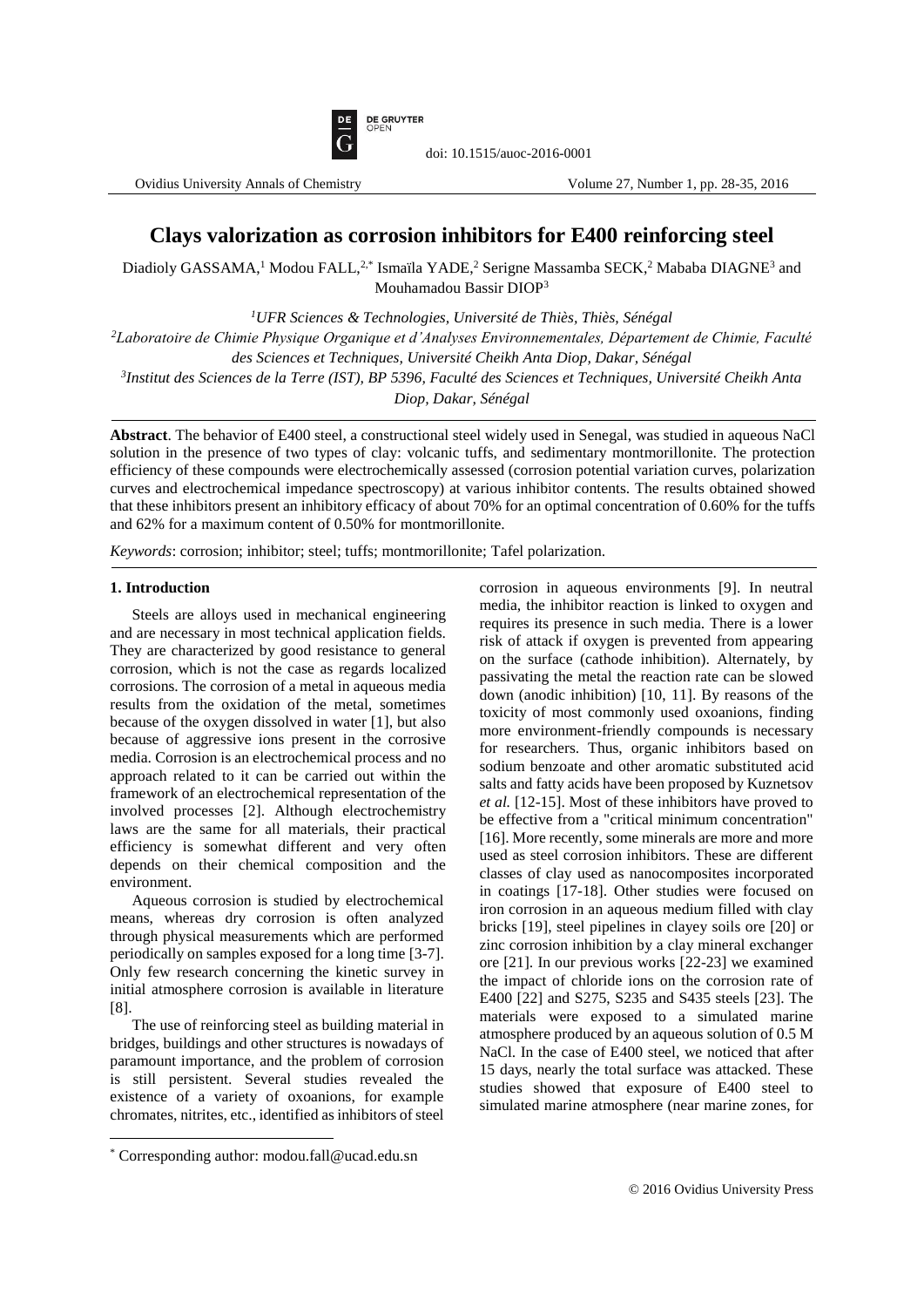

doi: 10.1515/auoc-2016-0001

# **Clays valorization as corrosion inhibitors for E400 reinforcing steel**

Diadioly GASSAMA,<sup>1</sup> Modou FALL,<sup>2,\*</sup> Ismaïla YADE,<sup>2</sup> Serigne Massamba SECK,<sup>2</sup> Mababa DIAGNE<sup>3</sup> and Mouhamadou Bassir DIOP<sup>3</sup>

*<sup>1</sup>UFR Sciences & Technologies, Université de Thiès, Thiès, Sénégal* 

*<sup>2</sup>Laboratoire de Chimie Physique Organique et d'Analyses Environnementales, Département de Chimie, Faculté des Sciences et Techniques, Université Cheikh Anta Diop, Dakar, Sénégal*

*3 Institut des Sciences de la Terre (IST), BP 5396, Faculté des Sciences et Techniques, Université Cheikh Anta* 

*Diop, Dakar, Sénégal*

**Abstract**. The behavior of E400 steel, a constructional steel widely used in Senegal, was studied in aqueous NaCl solution in the presence of two types of clay: volcanic tuffs, and sedimentary montmorillonite. The protection efficiency of these compounds were electrochemically assessed (corrosion potential variation curves, polarization curves and electrochemical impedance spectroscopy) at various inhibitor contents. The results obtained showed that these inhibitors present an inhibitory efficacy of about 70% for an optimal concentration of 0.60% for the tuffs and 62% for a maximum content of 0.50% for montmorillonite.

*Keywords*: corrosion; inhibitor; steel; tuffs; montmorillonite; Tafel polarization.

# **1. Introduction**

Steels are alloys used in mechanical engineering and are necessary in most technical application fields. They are characterized by good resistance to general corrosion, which is not the case as regards localized corrosions. The corrosion of a metal in aqueous media results from the oxidation of the metal, sometimes because of the oxygen dissolved in water [1], but also because of aggressive ions present in the corrosive media. Corrosion is an electrochemical process and no approach related to it can be carried out within the framework of an electrochemical representation of the involved processes [2]. Although electrochemistry laws are the same for all materials, their practical efficiency is somewhat different and very often depends on their chemical composition and the environment.

Aqueous corrosion is studied by electrochemical means, whereas dry corrosion is often analyzed through physical measurements which are performed periodically on samples exposed for a long time [3-7]. Only few research concerning the kinetic survey in initial atmosphere corrosion is available in literature [8].

The use of reinforcing steel as building material in bridges, buildings and other structures is nowadays of paramount importance, and the problem of corrosion is still persistent. Several studies revealed the existence of a variety of oxoanions, for example chromates, nitrites, etc., identified as inhibitors of steel

 $\overline{\phantom{a}}$ 

corrosion in aqueous environments [9]. In neutral media, the inhibitor reaction is linked to oxygen and requires its presence in such media. There is a lower risk of attack if oxygen is prevented from appearing on the surface (cathode inhibition). Alternately, by passivating the metal the reaction rate can be slowed down (anodic inhibition) [10, 11]. By reasons of the toxicity of most commonly used oxoanions, finding more environment-friendly compounds is necessary for researchers. Thus, organic inhibitors based on sodium benzoate and other aromatic substituted acid salts and fatty acids have been proposed by Kuznetsov *et al.* [12-15]. Most of these inhibitors have proved to be effective from a "critical minimum concentration" [16]. More recently, some minerals are more and more used as steel corrosion inhibitors. These are different classes of clay used as nanocomposites incorporated in coatings [17-18]. Other studies were focused on iron corrosion in an aqueous medium filled with clay bricks [19], steel pipelines in clayey soils ore [20] or zinc corrosion inhibition by a clay mineral exchanger ore [21]. In our previous works [22-23] we examined the impact of chloride ions on the corrosion rate of E400 [22] and S275, S235 and S435 steels [23]. The materials were exposed to a simulated marine atmosphere produced by an aqueous solution of 0.5 M NaCl. In the case of E400 steel, we noticed that after 15 days, nearly the total surface was attacked. These studies showed that exposure of E400 steel to simulated marine atmosphere (near marine zones, for

<sup>\*</sup> Corresponding author: modou.fall@ucad.edu.sn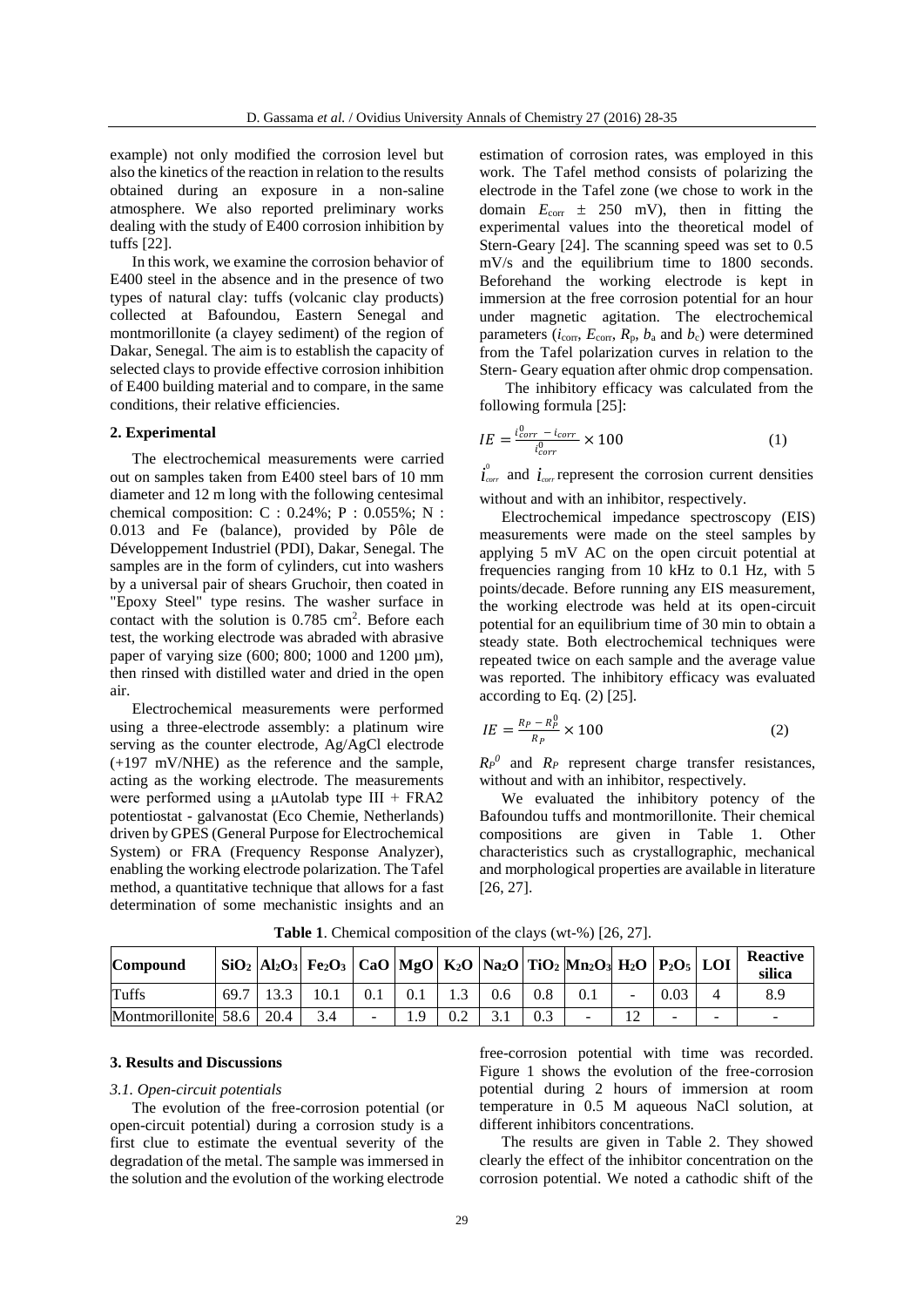example) not only modified the corrosion level but also the kinetics of the reaction in relation to the results obtained during an exposure in a non-saline atmosphere. We also reported preliminary works dealing with the study of E400 corrosion inhibition by tuffs [22].

In this work, we examine the corrosion behavior of E400 steel in the absence and in the presence of two types of natural clay: tuffs (volcanic clay products) collected at Bafoundou, Eastern Senegal and montmorillonite (a clayey sediment) of the region of Dakar, Senegal. The aim is to establish the capacity of selected clays to provide effective corrosion inhibition of E400 building material and to compare, in the same conditions, their relative efficiencies.

# **2. Experimental**

The electrochemical measurements were carried out on samples taken from E400 steel bars of 10 mm diameter and 12 m long with the following centesimal chemical composition: C : 0.24%; P : 0.055%; N : 0.013 and Fe (balance), provided by Pôle de Développement Industriel (PDI), Dakar, Senegal. The samples are in the form of cylinders, cut into washers by a universal pair of shears Gruchoir, then coated in "Epoxy Steel" type resins. The washer surface in contact with the solution is  $0.785 \text{ cm}^2$ . Before each test, the working electrode was abraded with abrasive paper of varying size (600; 800; 1000 and 1200 µm), then rinsed with distilled water and dried in the open air.

Electrochemical measurements were performed using a three-electrode assembly: a platinum wire serving as the counter electrode, Ag/AgCl electrode (+197 mV/NHE) as the reference and the sample, acting as the working electrode. The measurements were performed using a  $\mu$ Autolab type III + FRA2 potentiostat - galvanostat (Eco Chemie, Netherlands) driven by GPES (General Purpose for Electrochemical System) or FRA (Frequency Response Analyzer), enabling the working electrode polarization. The Tafel method, a quantitative technique that allows for a fast determination of some mechanistic insights and an

estimation of corrosion rates, was employed in this work. The Tafel method consists of polarizing the electrode in the Tafel zone (we chose to work in the domain  $E_{\text{corr}} \pm 250$  mV), then in fitting the experimental values into the theoretical model of Stern-Geary [24]. The scanning speed was set to 0.5 mV/s and the equilibrium time to 1800 seconds. Beforehand the working electrode is kept in immersion at the free corrosion potential for an hour under magnetic agitation. The electrochemical parameters  $(i_{\text{corr}}, E_{\text{corr}}, R_{\text{p}}, b_{\text{a}}$  and  $b_{\text{c}})$  were determined from the Tafel polarization curves in relation to the Stern- Geary equation after ohmic drop compensation.

The inhibitory efficacy was calculated from the following formula [25]:

$$
IE = \frac{i_{corr}^{0} - i_{corr}}{i_{corr}^{0}} \times 100
$$
 (1)

 $\vec{i}_{corr}$  and  $\vec{i}_{corr}$  represent the corrosion current densities without and with an inhibitor, respectively.

Electrochemical impedance spectroscopy (EIS) measurements were made on the steel samples by applying 5 mV AC on the open circuit potential at frequencies ranging from 10 kHz to 0.1 Hz, with 5 points/decade. Before running any EIS measurement, the working electrode was held at its open-circuit potential for an equilibrium time of 30 min to obtain a steady state. Both electrochemical techniques were repeated twice on each sample and the average value was reported. The inhibitory efficacy was evaluated according to Eq. (2) [25].

$$
IE = \frac{R_P - R_P^0}{R_P} \times 100\tag{2}
$$

 $R_P^0$  and  $R_P$  represent charge transfer resistances, without and with an inhibitor, respectively.

We evaluated the inhibitory potency of the Bafoundou tuffs and montmorillonite. Their chemical compositions are given in Table 1. Other characteristics such as crystallographic, mechanical and morphological properties are available in literature [26, 27].

| Compound             |               | SiO <sub>2</sub>  Al2O <sub>3</sub>   Fe2O <sub>3</sub>   CaO  MgO   K2O  Na2O   TiO2  Mn2O3  H2O   P2O5   LOI |     |     |               |     |     |                |      |   | <b>Reactive</b><br>silica |
|----------------------|---------------|----------------------------------------------------------------------------------------------------------------|-----|-----|---------------|-----|-----|----------------|------|---|---------------------------|
| Tuffs                | $69.7$   13.3 | 10.1                                                                                                           | 0.1 | 0.1 | $0.6^{\circ}$ | 0.8 | 0.1 |                | 0.03 |   | 8.9                       |
| Montmorillonite 58.6 | 20.4          |                                                                                                                | -   | ίQ  |               | 0.3 | -   | 1 <sub>2</sub> |      | - | $\overline{\phantom{a}}$  |

**Table 1**. Chemical composition of the clays (wt-%) [26, 27].

# **3. Results and Discussions**

#### *3.1. Open-circuit potentials*

The evolution of the free-corrosion potential (or open-circuit potential) during a corrosion study is a first clue to estimate the eventual severity of the degradation of the metal. The sample was immersed in the solution and the evolution of the working electrode

free-corrosion potential with time was recorded. Figure 1 shows the evolution of the free-corrosion potential during 2 hours of immersion at room temperature in 0.5 M aqueous NaCl solution, at different inhibitors concentrations.

The results are given in Table 2. They showed clearly the effect of the inhibitor concentration on the corrosion potential. We noted a cathodic shift of the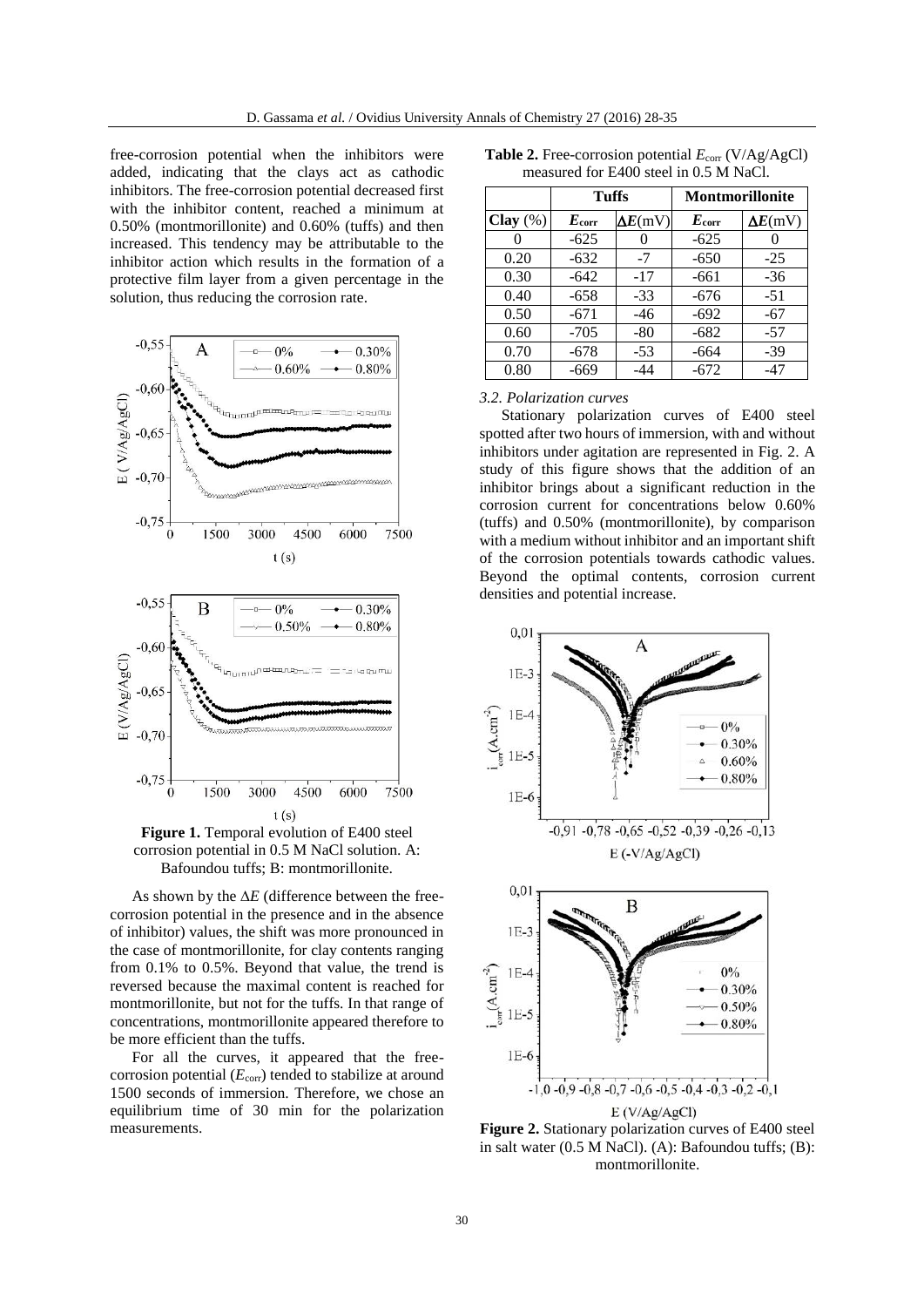free-corrosion potential when the inhibitors were added, indicating that the clays act as cathodic inhibitors. The free-corrosion potential decreased first with the inhibitor content, reached a minimum at 0.50% (montmorillonite) and 0.60% (tuffs) and then increased. This tendency may be attributable to the inhibitor action which results in the formation of a protective film layer from a given percentage in the solution, thus reducing the corrosion rate.



 $t(s)$ **Figure 1.** Temporal evolution of E400 steel corrosion potential in 0.5 M NaCl solution. A: Bafoundou tuffs; B: montmorillonite.

As shown by the  $\Delta E$  (difference between the freecorrosion potential in the presence and in the absence of inhibitor) values, the shift was more pronounced in the case of montmorillonite, for clay contents ranging from 0.1% to 0.5%. Beyond that value, the trend is reversed because the maximal content is reached for montmorillonite, but not for the tuffs. In that range of concentrations, montmorillonite appeared therefore to be more efficient than the tuffs.

For all the curves, it appeared that the freecorrosion potential  $(E_{\text{corr}})$  tended to stabilize at around 1500 seconds of immersion. Therefore, we chose an equilibrium time of 30 min for the polarization measurements.

|  |  | <b>Table 2.</b> Free-corrosion potential $E_{\text{corr}}$ (V/Ag/AgCl) |  |  |
|--|--|------------------------------------------------------------------------|--|--|
|  |  | measured for E400 steel in 0.5 M NaCl.                                 |  |  |

|             | Tuffs          |                 | <b>Montmorillonite</b> |                 |
|-------------|----------------|-----------------|------------------------|-----------------|
| Clay $(\%)$ | $E_{\rm corr}$ | $\Delta E$ (mV) | $E_{\rm corr}$         | $\Delta E$ (mV) |
|             | $-625$         |                 | $-625$                 |                 |
| 0.20        | $-632$         | $-7$            | $-650$                 | $-25$           |
| 0.30        | $-642$         | $-17$           | $-661$                 | $-36$           |
| 0.40        | $-658$         | $-33$           | $-676$                 | $-51$           |
| 0.50        | $-671$         | $-46$           | $-692$                 | $-67$           |
| 0.60        | $-705$         | $-80$           | $-682$                 | $-57$           |
| 0.70        | $-678$         | $-53$           | $-664$                 | $-39$           |
| 0.80        | -669           | -44             | -672                   | -47             |

# *3.2. Polarization curves*

Stationary polarization curves of E400 steel spotted after two hours of immersion, with and without inhibitors under agitation are represented in Fig. 2. A study of this figure shows that the addition of an inhibitor brings about a significant reduction in the corrosion current for concentrations below 0.60% (tuffs) and 0.50% (montmorillonite), by comparison with a medium without inhibitor and an important shift of the corrosion potentials towards cathodic values. Beyond the optimal contents, corrosion current densities and potential increase.



**Figure 2.** Stationary polarization curves of E400 steel in salt water (0.5 M NaCl). (A): Bafoundou tuffs; (B): montmorillonite.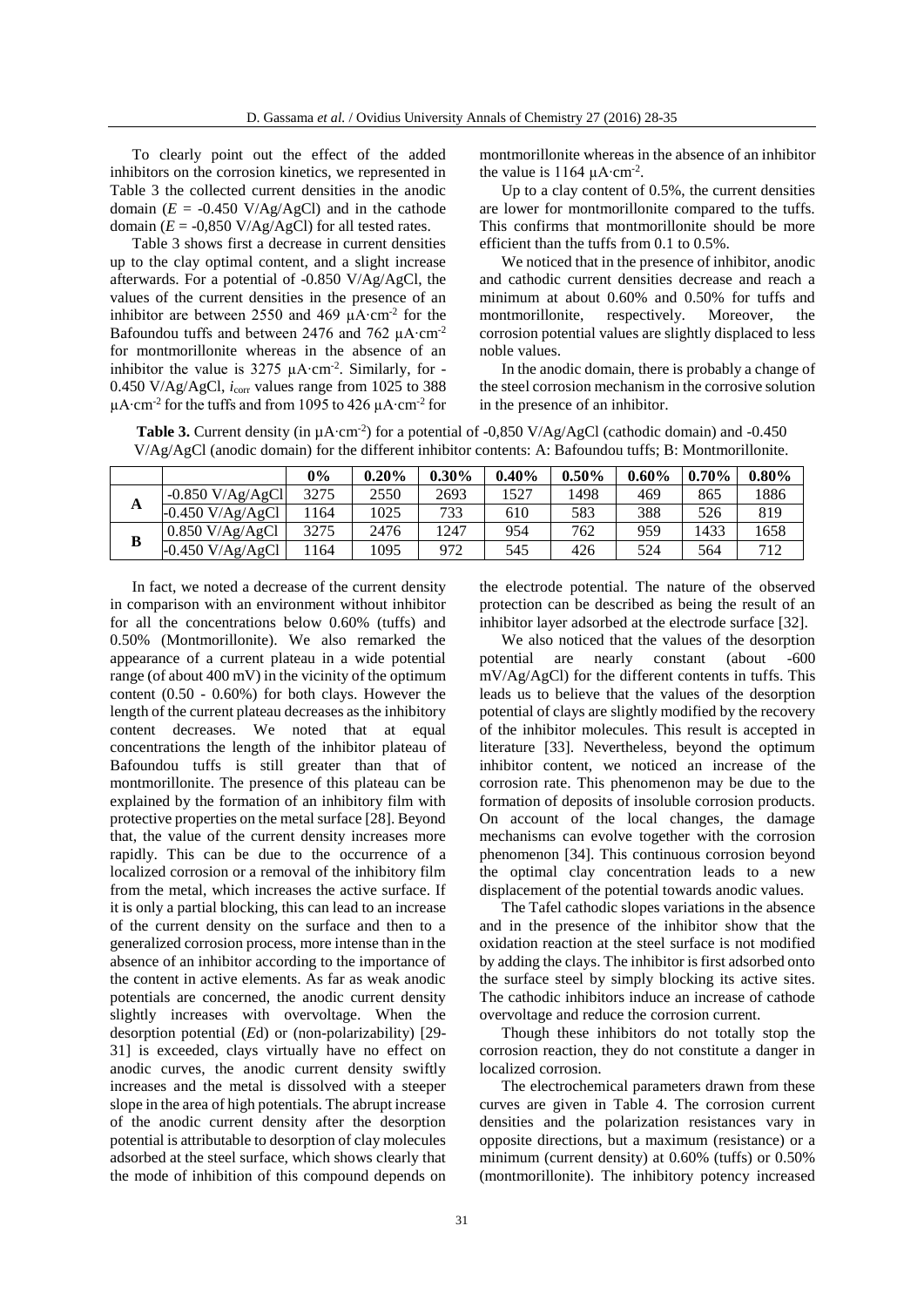To clearly point out the effect of the added inhibitors on the corrosion kinetics, we represented in Table 3 the collected current densities in the anodic domain  $(E = -0.450 \text{ V/Ag/AgCl})$  and in the cathode domain  $(E = -0.850 \text{ V/Ag/AgCl})$  for all tested rates.

Table 3 shows first a decrease in current densities up to the clay optimal content, and a slight increase afterwards. For a potential of -0.850 V/Ag/AgCl, the values of the current densities in the presence of an inhibitor are between 2550 and 469  $\mu$ A⋅cm<sup>-2</sup> for the Bafoundou tuffs and between 2476 and 762 μA⋅cm<sup>-2</sup> for montmorillonite whereas in the absence of an inhibitor the value is 3275 µA⋅cm<sup>-2</sup>. Similarly, for -0.450 V/Ag/AgCl, *i*corr values range from 1025 to 388 µA∙cm<sup>-2</sup> for the tuffs and from 1095 to 426 µA∙cm<sup>-2</sup> for

**B**

montmorillonite whereas in the absence of an inhibitor the value is 1164  $\mu$ A⋅cm<sup>-2</sup>.

Up to a clay content of 0.5%, the current densities are lower for montmorillonite compared to the tuffs. This confirms that montmorillonite should be more efficient than the tuffs from 0.1 to 0.5%.

We noticed that in the presence of inhibitor, anodic and cathodic current densities decrease and reach a minimum at about 0.60% and 0.50% for tuffs and montmorillonite, respectively. Moreover, the corrosion potential values are slightly displaced to less noble values.

In the anodic domain, there is probably a change of the steel corrosion mechanism in the corrosive solution in the presence of an inhibitor.

| V/Ag/AgCl (anodic domain) for the different inhibitor contents: A: Bafoundou tuffs: B: Montmorillonite. |       |          |          |          |          |                     |     |          |
|---------------------------------------------------------------------------------------------------------|-------|----------|----------|----------|----------|---------------------|-----|----------|
|                                                                                                         | $0\%$ | $0.20\%$ | $0.30\%$ | $0.40\%$ | $0.50\%$ | $0.60\%$   $0.70\%$ |     | $0.80\%$ |
| $-0.850 V/Ag/AgCl$                                                                                      | 3275  | 2550     | 2693     | 1527     | 1498     | 469                 | 865 | 1886     |
| $-0.450$ V/Ag/AgCl                                                                                      | 1164  | 1025     | 733      | 610      | 583      | 388                 | 526 | 819      |

0.850 V/Ag/AgCl 3275 2476 1247 954 762 959 1433 1658 -0.450 V/Ag/AgCl 1164 1095 972 545 426 524 564 712

**Table 3.** Current density (in  $\mu$ A⋅cm<sup>-2</sup>) for a potential of -0,850 V/Ag/AgCl (cathodic domain) and -0.450

In fact, we noted a decrease of the current density in comparison with an environment without inhibitor for all the concentrations below 0.60% (tuffs) and 0.50% (Montmorillonite). We also remarked the appearance of a current plateau in a wide potential range (of about 400 mV) in the vicinity of the optimum content (0.50 - 0.60%) for both clays. However the length of the current plateau decreases as the inhibitory content decreases. We noted that at equal concentrations the length of the inhibitor plateau of Bafoundou tuffs is still greater than that of montmorillonite. The presence of this plateau can be explained by the formation of an inhibitory film with protective properties on the metal surface [28]. Beyond that, the value of the current density increases more rapidly. This can be due to the occurrence of a localized corrosion or a removal of the inhibitory film from the metal, which increases the active surface. If it is only a partial blocking, this can lead to an increase of the current density on the surface and then to a generalized corrosion process, more intense than in the absence of an inhibitor according to the importance of the content in active elements. As far as weak anodic potentials are concerned, the anodic current density slightly increases with overvoltage. When the desorption potential (*E*d) or (non-polarizability) [29- 31] is exceeded, clays virtually have no effect on anodic curves, the anodic current density swiftly increases and the metal is dissolved with a steeper slope in the area of high potentials. The abrupt increase of the anodic current density after the desorption potential is attributable to desorption of clay molecules adsorbed at the steel surface, which shows clearly that the mode of inhibition of this compound depends on

the electrode potential. The nature of the observed protection can be described as being the result of an inhibitor layer adsorbed at the electrode surface [32].

We also noticed that the values of the desorption potential are nearly constant (about -600 mV/Ag/AgCl) for the different contents in tuffs. This leads us to believe that the values of the desorption potential of clays are slightly modified by the recovery of the inhibitor molecules. This result is accepted in literature [33]. Nevertheless, beyond the optimum inhibitor content, we noticed an increase of the corrosion rate. This phenomenon may be due to the formation of deposits of insoluble corrosion products. On account of the local changes, the damage mechanisms can evolve together with the corrosion phenomenon [34]. This continuous corrosion beyond the optimal clay concentration leads to a new displacement of the potential towards anodic values.

The Tafel cathodic slopes variations in the absence and in the presence of the inhibitor show that the oxidation reaction at the steel surface is not modified by adding the clays. The inhibitor is first adsorbed onto the surface steel by simply blocking its active sites. The cathodic inhibitors induce an increase of cathode overvoltage and reduce the corrosion current.

Though these inhibitors do not totally stop the corrosion reaction, they do not constitute a danger in localized corrosion.

The electrochemical parameters drawn from these curves are given in Table 4. The corrosion current densities and the polarization resistances vary in opposite directions, but a maximum (resistance) or a minimum (current density) at 0.60% (tuffs) or 0.50% (montmorillonite). The inhibitory potency increased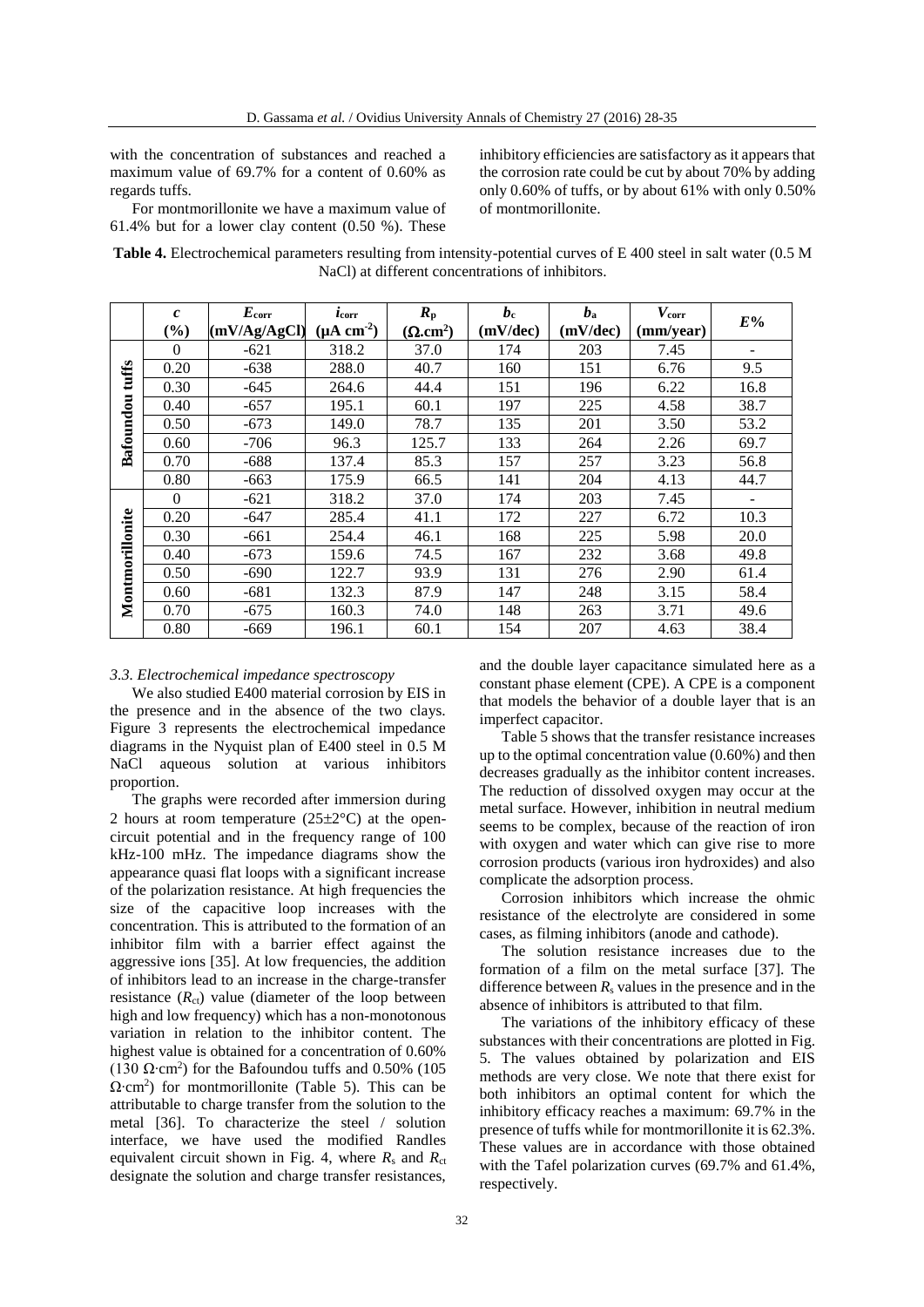with the concentration of substances and reached a maximum value of 69.7% for a content of 0.60% as regards tuffs.

For montmorillonite we have a maximum value of 61.4% but for a lower clay content (0.50 %). These

inhibitory efficiencies are satisfactory as it appears that the corrosion rate could be cut by about 70% by adding only 0.60% of tuffs, or by about 61% with only 0.50% of montmorillonite.

**Table 4.** Electrochemical parameters resulting from intensity-potential curves of E 400 steel in salt water (0.5 M NaCl) at different concentrations of inhibitors.

|                 | $\mathcal{C}_{0}$ | $E_{\rm corr}$ | $\iota_{\text{corr}}$  | $R_{p}$         | $b_{c}$  | $b_{\rm a}$ | $V_{\rm corr}$ | $E\%$ |
|-----------------|-------------------|----------------|------------------------|-----------------|----------|-------------|----------------|-------|
|                 | (%)               | (mV/Ag/AgCl)   | $(\mu A \text{ cm}^2)$ | $(\Omega.cm^2)$ | (mV/dec) | (mV/dec)    | (mm/year)      |       |
|                 | $\theta$          | $-621$         | 318.2                  | 37.0            | 174      | 203         | 7.45           |       |
| tuffs           | 0.20              | $-638$         | 288.0                  | 40.7            | 160      | 151         | 6.76           | 9.5   |
|                 | 0.30              | $-645$         | 264.6                  | 44.4            | 151      | 196         | 6.22           | 16.8  |
|                 | 0.40              | $-657$         | 195.1                  | 60.1            | 197      | 225         | 4.58           | 38.7  |
| Bafoundou       | 0.50              | $-673$         | 149.0                  | 78.7            | 135      | 201         | 3.50           | 53.2  |
|                 | 0.60              | $-706$         | 96.3                   | 125.7           | 133      | 264         | 2.26           | 69.7  |
|                 | 0.70              | $-688$         | 137.4                  | 85.3            | 157      | 257         | 3.23           | 56.8  |
|                 | 0.80              | $-663$         | 175.9                  | 66.5            | 141      | 204         | 4.13           | 44.7  |
|                 | $\Omega$          | $-621$         | 318.2                  | 37.0            | 174      | 203         | 7.45           |       |
|                 | 0.20              | $-647$         | 285.4                  | 41.1            | 172      | 227         | 6.72           | 10.3  |
| Montmorillonite | 0.30              | $-661$         | 254.4                  | 46.1            | 168      | 225         | 5.98           | 20.0  |
|                 | 0.40              | $-673$         | 159.6                  | 74.5            | 167      | 232         | 3.68           | 49.8  |
|                 | 0.50              | $-690$         | 122.7                  | 93.9            | 131      | 276         | 2.90           | 61.4  |
|                 | 0.60              | $-681$         | 132.3                  | 87.9            | 147      | 248         | 3.15           | 58.4  |
|                 | 0.70              | $-675$         | 160.3                  | 74.0            | 148      | 263         | 3.71           | 49.6  |
|                 | 0.80              | -669           | 196.1                  | 60.1            | 154      | 207         | 4.63           | 38.4  |

#### *3.3. Electrochemical impedance spectroscopy*

We also studied E400 material corrosion by EIS in the presence and in the absence of the two clays. Figure 3 represents the electrochemical impedance diagrams in the Nyquist plan of E400 steel in 0.5 M NaCl aqueous solution at various inhibitors proportion.

The graphs were recorded after immersion during 2 hours at room temperature  $(25\pm2\degree C)$  at the opencircuit potential and in the frequency range of 100 kHz-100 mHz. The impedance diagrams show the appearance quasi flat loops with a significant increase of the polarization resistance. At high frequencies the size of the capacitive loop increases with the concentration. This is attributed to the formation of an inhibitor film with a barrier effect against the aggressive ions [35]. At low frequencies, the addition of inhibitors lead to an increase in the charge-transfer resistance  $(R<sub>ct</sub>)$  value (diameter of the loop between high and low frequency) which has a non-monotonous variation in relation to the inhibitor content. The highest value is obtained for a concentration of 0.60% (130  $\Omega$ ⋅cm<sup>2</sup>) for the Bafoundou tuffs and 0.50% (105  $\Omega$ ⋅cm<sup>2</sup>) for montmorillonite (Table 5). This can be attributable to charge transfer from the solution to the metal [36]. To characterize the steel / solution interface, we have used the modified Randles equivalent circuit shown in Fig. 4, where *R*<sup>s</sup> and *R*ct designate the solution and charge transfer resistances,

and the double layer capacitance simulated here as a constant phase element (CPE). A CPE is a component that models the behavior of a double layer that is an imperfect capacitor.

Table 5 shows that the transfer resistance increases up to the optimal concentration value (0.60%) and then decreases gradually as the inhibitor content increases. The reduction of dissolved oxygen may occur at the metal surface. However, inhibition in neutral medium seems to be complex, because of the reaction of iron with oxygen and water which can give rise to more corrosion products (various iron hydroxides) and also complicate the adsorption process.

Corrosion inhibitors which increase the ohmic resistance of the electrolyte are considered in some cases, as filming inhibitors (anode and cathode).

The solution resistance increases due to the formation of a film on the metal surface [37]. The difference between  $R_s$  values in the presence and in the absence of inhibitors is attributed to that film.

The variations of the inhibitory efficacy of these substances with their concentrations are plotted in Fig. 5. The values obtained by polarization and EIS methods are very close. We note that there exist for both inhibitors an optimal content for which the inhibitory efficacy reaches a maximum: 69.7% in the presence of tuffs while for montmorillonite it is 62.3%. These values are in accordance with those obtained with the Tafel polarization curves (69.7% and 61.4%, respectively.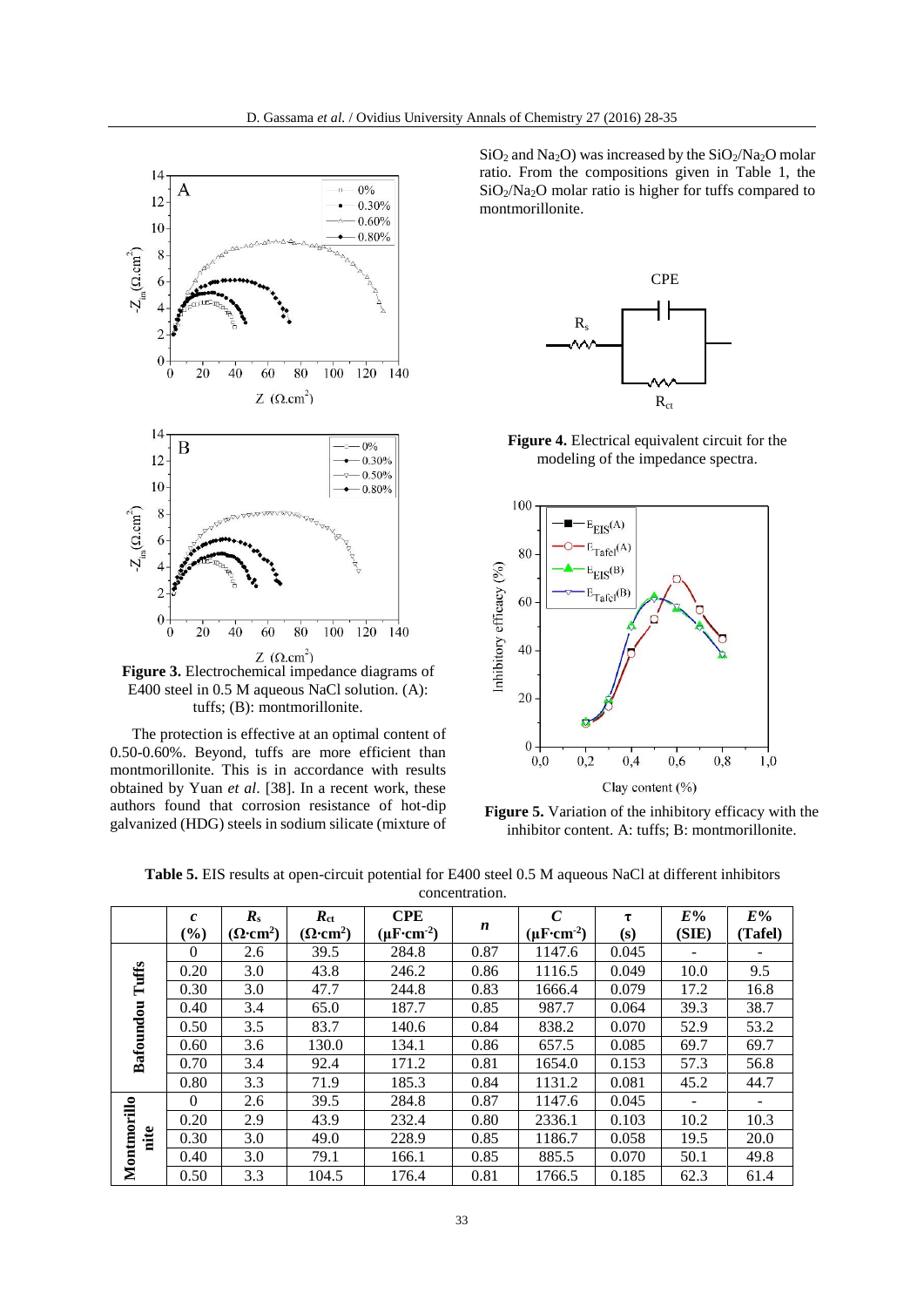

E400 steel in 0.5 M aqueous NaCl solution. (A): tuffs; (B): montmorillonite.

The protection is effective at an optimal content of 0.50-0.60%. Beyond, tuffs are more efficient than montmorillonite. This is in accordance with results obtained by Yuan *et al*. [38]. In a recent work, these authors found that corrosion resistance of hot-dip galvanized (HDG) steels in sodium silicate (mixture of  $SiO<sub>2</sub>$  and Na<sub>2</sub>O) was increased by the  $SiO<sub>2</sub>/Na<sub>2</sub>O$  molar ratio. From the compositions given in Table 1, the SiO<sub>2</sub>/Na<sub>2</sub>O molar ratio is higher for tuffs compared to montmorillonite.



**Figure 4.** Electrical equivalent circuit for the modeling of the impedance spectra.



Figure 5. Variation of the inhibitory efficacy with the inhibitor content. A: tuffs; B: montmorillonite.

|                                                                                                                 |  |  | СDЕ |                |  |  | E0/ | E0/ |  |
|-----------------------------------------------------------------------------------------------------------------|--|--|-----|----------------|--|--|-----|-----|--|
|                                                                                                                 |  |  |     | concentration. |  |  |     |     |  |
| <b>Table 5.</b> EIS results at open-circuit potential for E400 steel 0.5 M aqueous NaCl at different inhibitors |  |  |     |                |  |  |     |     |  |

|             | $\mathcal{C}_{0}$ | $R_{\rm s}$                  | $R_{\rm ct}$                 | <b>CPE</b>                                 |                  | $\mathcal{C}$                             | τ     | E%    | E%      |
|-------------|-------------------|------------------------------|------------------------------|--------------------------------------------|------------------|-------------------------------------------|-------|-------|---------|
|             | $(\%)$            | $(\Omega$ ·cm <sup>2</sup> ) | $(\Omega$ ·cm <sup>2</sup> ) | $(\mu \mathrm{F}\text{-}\mathrm{cm}^{-2})$ | $\boldsymbol{n}$ | $(\mu \mathrm{F} \cdot \mathrm{cm}^{-2})$ | (s)   | (SIE) | (Tafel) |
|             | $\Omega$          | 2.6                          | 39.5                         | 284.8                                      | 0.87             | 1147.6                                    | 0.045 |       |         |
| Tuffs       | 0.20              | 3.0                          | 43.8                         | 246.2                                      | 0.86             | 1116.5                                    | 0.049 | 10.0  | 9.5     |
|             | 0.30              | 3.0                          | 47.7                         | 244.8                                      | 0.83             | 1666.4                                    | 0.079 | 17.2  | 16.8    |
|             | 0.40              | 3.4                          | 65.0                         | 187.7                                      | 0.85             | 987.7                                     | 0.064 | 39.3  | 38.7    |
| Bafoundou   | 0.50              | 3.5                          | 83.7                         | 140.6                                      | 0.84             | 838.2                                     | 0.070 | 52.9  | 53.2    |
|             | 0.60              | 3.6                          | 130.0                        | 134.1                                      | 0.86             | 657.5                                     | 0.085 | 69.7  | 69.7    |
|             | 0.70              | 3.4                          | 92.4                         | 171.2                                      | 0.81             | 1654.0                                    | 0.153 | 57.3  | 56.8    |
|             | 0.80              | 3.3                          | 71.9                         | 185.3                                      | 0.84             | 1131.2                                    | 0.081 | 45.2  | 44.7    |
|             | $\Omega$          | 2.6                          | 39.5                         | 284.8                                      | 0.87             | 1147.6                                    | 0.045 |       |         |
|             | 0.20              | 2.9                          | 43.9                         | 232.4                                      | 0.80             | 2336.1                                    | 0.103 | 10.2  | 10.3    |
| nite        | 0.30              | 3.0                          | 49.0                         | 228.9                                      | 0.85             | 1186.7                                    | 0.058 | 19.5  | 20.0    |
| Montmorillo | 0.40              | 3.0                          | 79.1                         | 166.1                                      | 0.85             | 885.5                                     | 0.070 | 50.1  | 49.8    |
|             | 0.50              | 3.3                          | 104.5                        | 176.4                                      | 0.81             | 1766.5                                    | 0.185 | 62.3  | 61.4    |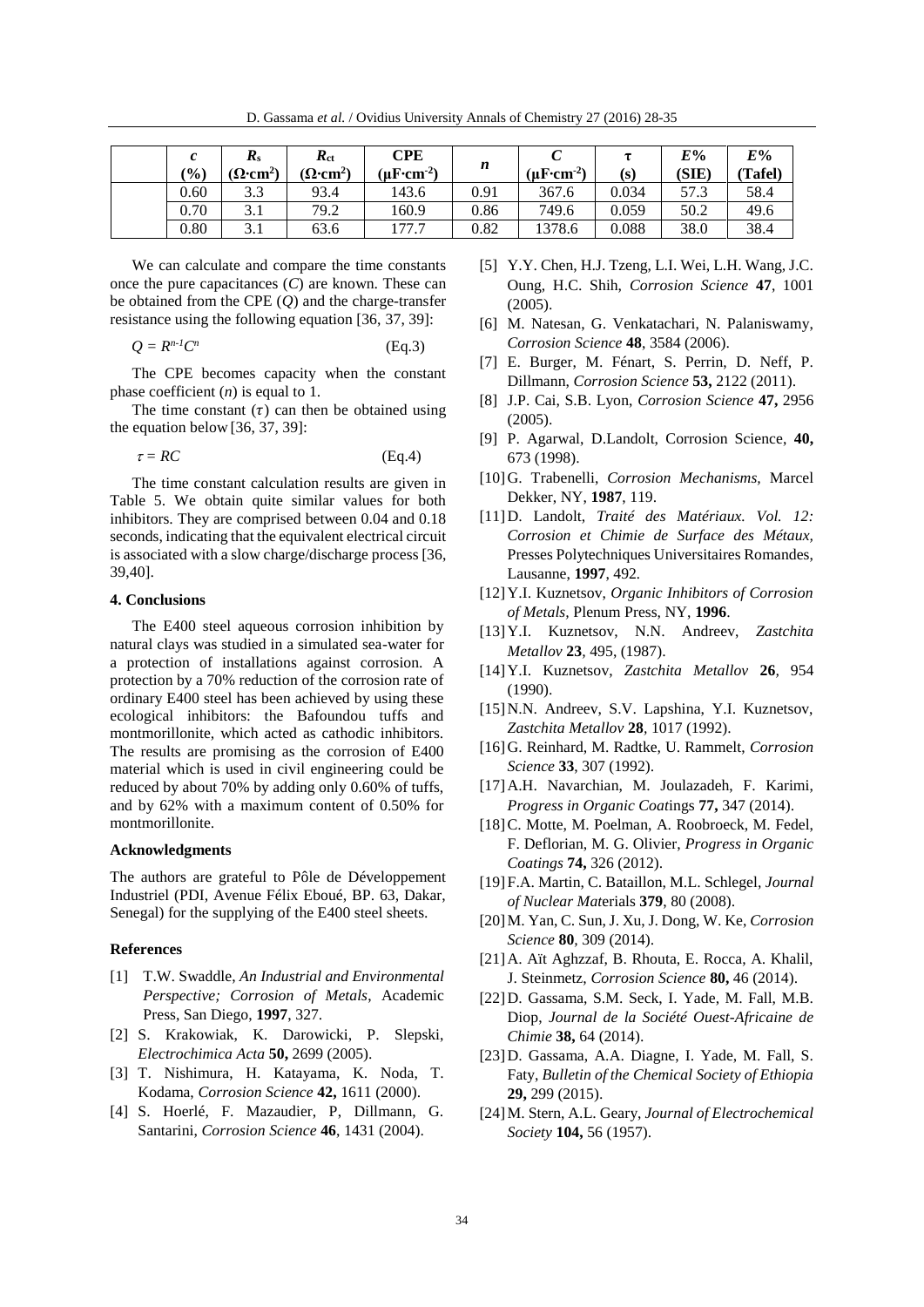D. Gassama *et al.* / Ovidius University Annals of Chemistry 27 (2016) 28-35

| (%)  | $\boldsymbol{R}_{\rm s}$<br>$(\Omega$ ·cm <sup>2</sup> ) | $R_{\rm ct}$<br>$(\Omega$ ·cm <sup>2</sup> ) | CPE<br>$(\mu \mathrm{F} \cdot \mathrm{cm}^{-2})$ | n    | (µ $F$ ·cm <sup>-2</sup> ) | (s)   | $E\%$<br>(SIE) | $E\%$<br>(Tafel) |
|------|----------------------------------------------------------|----------------------------------------------|--------------------------------------------------|------|----------------------------|-------|----------------|------------------|
| 0.60 | 3.3                                                      | 93.4                                         | 143.6                                            | 0.91 | 367.6                      | 0.034 | 57.3           | 58.4             |
| 0.70 | $\sim$ 1<br>3. I                                         | 79.2                                         | 160.9                                            | 0.86 | 749.6                      | 0.059 | 50.2           | 49.6             |
| 0.80 | 3.1                                                      | 63.6                                         | 177.                                             | 0.82 | 1378.6                     | 0.088 | 38.0           | 38.4             |

We can calculate and compare the time constants once the pure capacitances (*C*) are known. These can be obtained from the CPE (*Q*) and the charge-transfer resistance using the following equation [36, 37, 39]:

$$
Q = R^{n-l}C^n \tag{Eq.3}
$$

The CPE becomes capacity when the constant phase coefficient (*n*) is equal to 1.

The time constant  $(\tau)$  can then be obtained using the equation below [36, 37, 39]:

 $\tau = RC$  (Eq.4)

The time constant calculation results are given in Table 5. We obtain quite similar values for both inhibitors. They are comprised between 0.04 and 0.18 seconds, indicating that the equivalent electrical circuit is associated with a slow charge/discharge process [36, 39,40].

#### **4. Conclusions**

The E400 steel aqueous corrosion inhibition by natural clays was studied in a simulated sea-water for a protection of installations against corrosion. A protection by a 70% reduction of the corrosion rate of ordinary E400 steel has been achieved by using these ecological inhibitors: the Bafoundou tuffs and montmorillonite, which acted as cathodic inhibitors. The results are promising as the corrosion of E400 material which is used in civil engineering could be reduced by about 70% by adding only 0.60% of tuffs, and by 62% with a maximum content of 0.50% for montmorillonite.

# **Acknowledgments**

The authors are grateful to Pôle de Développement Industriel (PDI, Avenue Félix Eboué, BP. 63, Dakar, Senegal) for the supplying of the E400 steel sheets.

# **References**

- [1] T.W. Swaddle, *An Industrial and Environmental Perspective; Corrosion of Metals*, Academic Press, San Diego, **1997**, 327.
- [2] S. Krakowiak, K. Darowicki, P. Slepski, *Electrochimica Acta* **50,** 2699 (2005).
- [3] T. Nishimura, H. Katayama, K. Noda, T. Kodama, *Corrosion Science* **42,** 1611 (2000).
- [4] S. Hoerlé, F. Mazaudier, P, Dillmann, G. Santarini, *Corrosion Science* **46**, 1431 (2004).
- [5] Y.Y. Chen, H.J. Tzeng, L.I. Wei, L.H. Wang, J.C. Oung, H.C. Shih, *Corrosion Science* **47**, 1001 (2005).
- [6] M. Natesan, G. Venkatachari, N. Palaniswamy, *Corrosion Science* **48**, 3584 (2006).
- [7] E. Burger, M. Fénart, S. Perrin, D. Neff, P. Dillmann, *Corrosion Science* **53,** 2122 (2011).
- [8] J.P. Cai, S.B. Lyon, *Corrosion Science* **47,** 2956 (2005).
- [9] P. Agarwal, D.Landolt, Corrosion Science, **40,** 673 (1998).
- [10]G. Trabenelli, *Corrosion Mechanisms,* Marcel Dekker, NY, **1987**, 119.
- [11]D. Landolt, *Traité des Matériaux. Vol. 12: Corrosion et Chimie de Surface des Métaux,* Presses Polytechniques Universitaires Romandes, Lausanne, **1997**, 492*.*
- [12]Y.I. Kuznetsov, *Organic Inhibitors of Corrosion of Metals,* Plenum Press, NY, **1996**.
- [13]Y.I. Kuznetsov, N.N. Andreev, *Zastchita Metallov* **23***,* 495, (1987).
- [14]Y.I. Kuznetsov, *Zastchita Metallov* **26***,* 954 (1990).
- [15] N.N. Andreev, S.V. Lapshina, Y.I. Kuznetsov, *Zastchita Metallov* **28***,* 1017 (1992).
- [16]G. Reinhard, M. Radtke, U. Rammelt, *Corrosion Science* **33**, 307 (1992).
- [17]A.H. Navarchian, M. Joulazadeh, F. Karimi, *Progress in Organic Coat*ings **77,** 347 (2014).
- [18] C. Motte, M. Poelman, A. Roobroeck, M. Fedel, F. Deflorian, M. G. Olivier, *Progress in Organic Coatings* **74,** 326 (2012).
- [19]F.A. Martin, C. Bataillon, M.L. Schlegel, *Journal of Nuclear Mat*erials **379**, 80 (2008).
- [20]M. Yan, C. Sun, J. Xu, J. Dong, W. Ke, *Corrosion Science* **80***,* 309 (2014).
- [21]A. Aït Aghzzaf, B. Rhouta, E. Rocca, A. Khalil, J. Steinmetz, *Corrosion Science* **80,** 46 (2014).
- [22]D. Gassama, S.M. Seck, I. Yade, M. Fall, M.B. Diop, *Journal de la Société Ouest-Africaine de Chimie* **38,** 64 (2014).
- [23]D. Gassama, A.A. Diagne, I. Yade, M. Fall, S. Faty, *Bulletin of the Chemical Society of Ethiopia* **29,** 299 (2015).
- [24]M. Stern, A.L. Geary, *Journal of Electrochemical Society* **104,** 56 (1957).